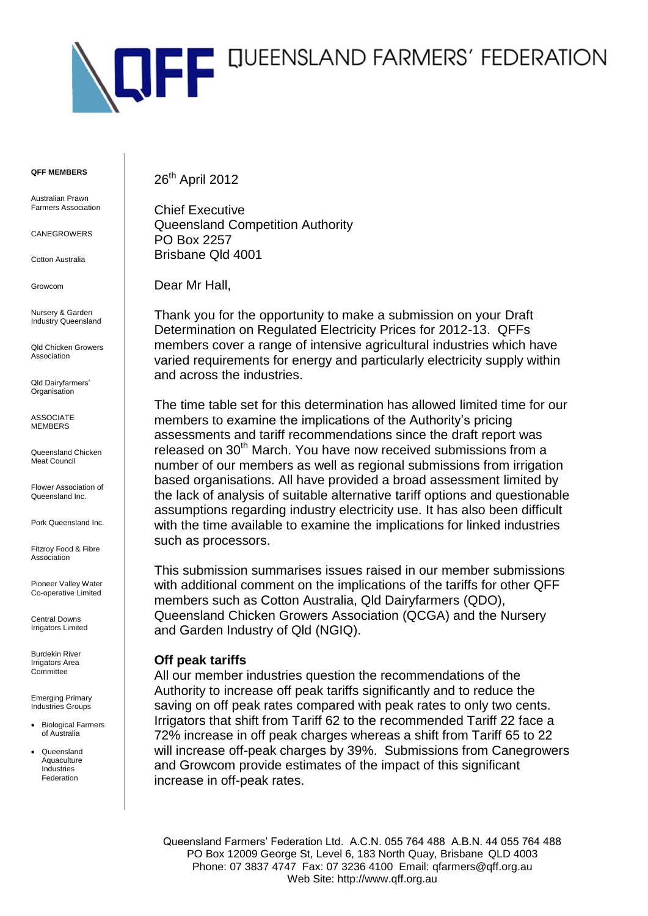

**QFF MEMBERS**

Australian Prawn Farmers Association

CANEGROWERS

Cotton Australia

Growcom

Nursery & Garden Industry Queensland

Qld Chicken Growers Association

Qld Dairyfarmers' **Organisation** 

ASSOCIATE **MEMBERS** 

Queensland Chicken Meat Council

Flower Association of Queensland Inc.

Pork Queensland Inc.

Fitzroy Food & Fibre Association

Pioneer Valley Water Co-operative Limited

Central Downs Irrigators Limited

Burdekin River Irrigators Area **Committee** 

Emerging Primary Industries Groups

- Biological Farmers of Australia
- Queensland Aquaculture Industries Federation

26<sup>th</sup> April 2012

Chief Executive Queensland Competition Authority PO Box 2257 Brisbane Qld 4001

Dear Mr Hall,

Thank you for the opportunity to make a submission on your Draft Determination on Regulated Electricity Prices for 2012-13. QFFs members cover a range of intensive agricultural industries which have varied requirements for energy and particularly electricity supply within and across the industries.

The time table set for this determination has allowed limited time for our members to examine the implications of the Authority's pricing assessments and tariff recommendations since the draft report was released on 30<sup>th</sup> March. You have now received submissions from a number of our members as well as regional submissions from irrigation based organisations. All have provided a broad assessment limited by the lack of analysis of suitable alternative tariff options and questionable assumptions regarding industry electricity use. It has also been difficult with the time available to examine the implications for linked industries such as processors.

This submission summarises issues raised in our member submissions with additional comment on the implications of the tariffs for other QFF members such as Cotton Australia, Qld Dairyfarmers (QDO), Queensland Chicken Growers Association (QCGA) and the Nursery and Garden Industry of Qld (NGIQ).

## **Off peak tariffs**

All our member industries question the recommendations of the Authority to increase off peak tariffs significantly and to reduce the saving on off peak rates compared with peak rates to only two cents. Irrigators that shift from Tariff 62 to the recommended Tariff 22 face a 72% increase in off peak charges whereas a shift from Tariff 65 to 22 will increase off-peak charges by 39%. Submissions from Canegrowers and Growcom provide estimates of the impact of this significant increase in off-peak rates.

Queensland Farmers' Federation Ltd. A.C.N. 055 764 488 A.B.N. 44 055 764 488 PO Box 12009 George St, Level 6, 183 North Quay, Brisbane QLD 4003 Phone: 07 3837 4747 Fax: 07 3236 4100 Email: qfarmers@qff.org.au Web Site: http://www.qff.org.au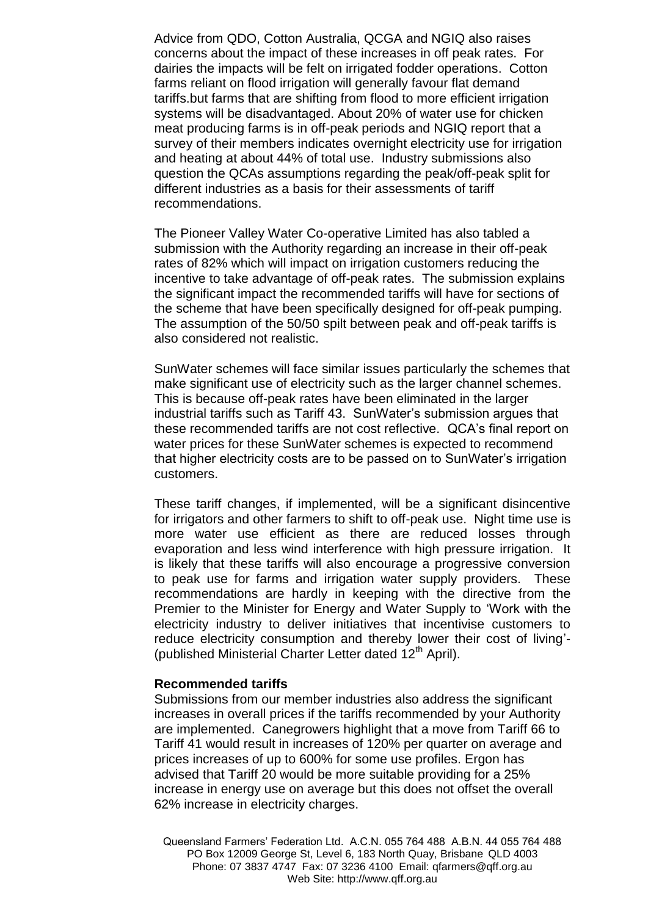Advice from QDO, Cotton Australia, QCGA and NGIQ also raises concerns about the impact of these increases in off peak rates. For dairies the impacts will be felt on irrigated fodder operations. Cotton farms reliant on flood irrigation will generally favour flat demand tariffs.but farms that are shifting from flood to more efficient irrigation systems will be disadvantaged. About 20% of water use for chicken meat producing farms is in off-peak periods and NGIQ report that a survey of their members indicates overnight electricity use for irrigation and heating at about 44% of total use. Industry submissions also question the QCAs assumptions regarding the peak/off-peak split for different industries as a basis for their assessments of tariff recommendations.

The Pioneer Valley Water Co-operative Limited has also tabled a submission with the Authority regarding an increase in their off-peak rates of 82% which will impact on irrigation customers reducing the incentive to take advantage of off-peak rates. The submission explains the significant impact the recommended tariffs will have for sections of the scheme that have been specifically designed for off-peak pumping. The assumption of the 50/50 spilt between peak and off-peak tariffs is also considered not realistic.

SunWater schemes will face similar issues particularly the schemes that make significant use of electricity such as the larger channel schemes. This is because off-peak rates have been eliminated in the larger industrial tariffs such as Tariff 43. SunWater's submission argues that these recommended tariffs are not cost reflective. QCA's final report on water prices for these SunWater schemes is expected to recommend that higher electricity costs are to be passed on to SunWater's irrigation customers.

These tariff changes, if implemented, will be a significant disincentive for irrigators and other farmers to shift to off-peak use. Night time use is more water use efficient as there are reduced losses through evaporation and less wind interference with high pressure irrigation. It is likely that these tariffs will also encourage a progressive conversion to peak use for farms and irrigation water supply providers. These recommendations are hardly in keeping with the directive from the Premier to the Minister for Energy and Water Supply to 'Work with the electricity industry to deliver initiatives that incentivise customers to reduce electricity consumption and thereby lower their cost of living'- (published Ministerial Charter Letter dated 12<sup>th</sup> April).

## **Recommended tariffs**

Submissions from our member industries also address the significant increases in overall prices if the tariffs recommended by your Authority are implemented. Canegrowers highlight that a move from Tariff 66 to Tariff 41 would result in increases of 120% per quarter on average and prices increases of up to 600% for some use profiles. Ergon has advised that Tariff 20 would be more suitable providing for a 25% increase in energy use on average but this does not offset the overall 62% increase in electricity charges.

Queensland Farmers' Federation Ltd. A.C.N. 055 764 488 A.B.N. 44 055 764 488 PO Box 12009 George St, Level 6, 183 North Quay, Brisbane QLD 4003 Phone: 07 3837 4747 Fax: 07 3236 4100 Email: qfarmers@qff.org.au Web Site: http://www.qff.org.au